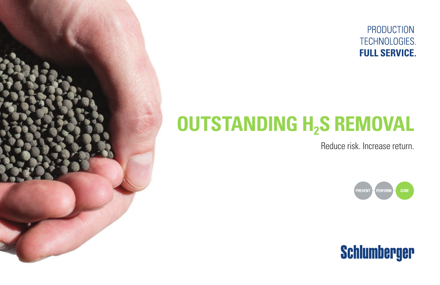

# **OUTSTANDING H<sub>2</sub>S REMOVAL**

Reduce risk. Increase return.



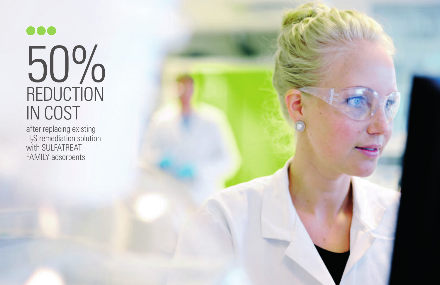# 50% REDUCTION IN COST

after replacing existing  $H<sub>2</sub>S$  remediation solution with SULFATREAT FAMILY adsorbents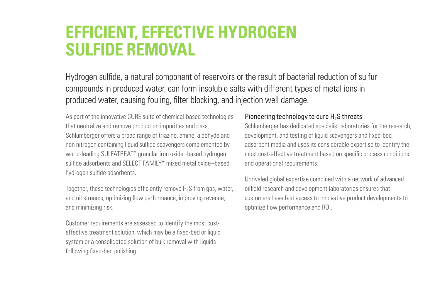### **EFFICIENT, EFFECTIVE HYDROGEN SULFIDE REMOVAL**

Hydrogen sulfide, a natural component of reservoirs or the result of bacterial reduction of sulfur compounds in produced water, can form insoluble salts with different types of metal ions in produced water, causing fouling, filter blocking, and injection well damage.

As part of the innovative CURE suite of chemical-based technologies that neutralize and remove production impurities and risks, Schlumberger offers a broad range of triazine, amine, aldehyde and non nitrogen containing liquid sulfide scavengers complemented by world-leading SULFATREAT\* granular iron oxide–based hydrogen sulfide adsorbents and SELECT FAMILY\* mixed metal oxide–based hydrogen sulfide adsorbents.

Together, these technologies efficiently remove  $H_2S$  from gas, water, and oil streams, optimizing flow performance, improving revenue, and minimizing risk.

Customer requirements are assessed to identify the most costeffective treatment solution, which may be a fixed-bed or liquid system or a consolidated solution of bulk removal with liquids following fixed-bed polishing.

#### Pioneering technology to cure H<sub>2</sub>S threats

Schlumberger has dedicated specialist laboratories for the research, development, and testing of liquid scavengers and fixed-bed adsorbent media and uses its considerable expertise to identify the most cost-effective treatment based on specific process conditions and operational requirements.

Unrivaled global expertise combined with a network of advanced oilfield research and development laboratories ensures that customers have fast access to innovative product developments to optimize flow performance and ROI.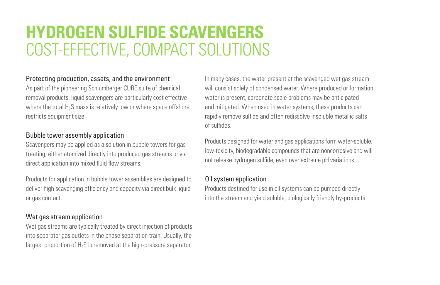## **HYDROGEN SULFIDE SCAVENGERS** COST-EFFECTIVE, COMPACT SOLUTIONS

#### Protecting production, assets, and the environment

As part of the pioneering Schlumberger CURE suite of chemical removal products, liquid scavengers are particularly cost effective where the total H<sub>2</sub>S mass is relatively low or where space offshore restricts equipment size.

#### Bubble tower assembly application

Scavengers may be applied as a solution in bubble towers for gas treating, either atomized directly into produced gas streams or via direct application into mixed fluid flow streams.

Products for application in bubble tower assemblies are designed to deliver high scavenging efficiency and capacity via direct bulk liquid or gas contact.

#### Wet gas stream application

Wet gas streams are typically treated by direct injection of products into separator gas outlets in the phase separation train. Usually, the largest proportion of  $H_2S$  is removed at the high-pressure separator.

In many cases, the water present at the scavenged wet gas stream will consist solely of condensed water. Where produced or formation water is present, carbonate scale problems may be anticipated and mitigated. When used in water systems, these products can rapidly remove sulfide and often redissolve insoluble metallic salts of sulfides.

Products designed for water and gas applications form water-soluble, low-toxicity, biodegradable compounds that are noncorrosive and will not release hydrogen sulfide, even over extreme pH variations.

#### Oil system application

Products destined for use in oil systems can be pumped directly into the stream and yield soluble, biologically friendly by-products.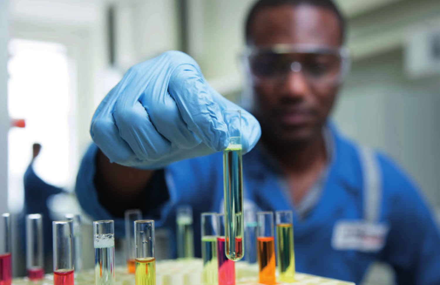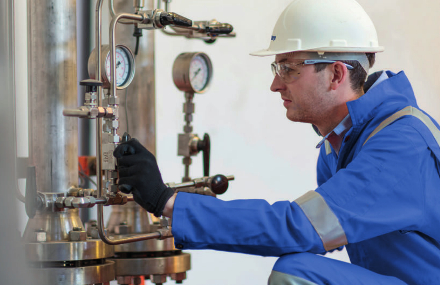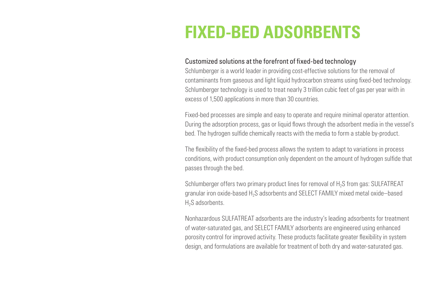# **FIXED-BED ADSORBENTS**

#### Customized solutions at the forefront of fixed-bed technology

Schlumberger is a world leader in providing cost-effective solutions for the removal of contaminants from gaseous and light liquid hydrocarbon streams using fixed-bed technology. Schlumberger technology is used to treat nearly 3 trillion cubic feet of gas per year with in excess of 1,500 applications in more than 30 countries.

Fixed-bed processes are simple and easy to operate and require minimal operator attention. During the adsorption process, gas or liquid flows through the adsorbent media in the vessel's bed. The hydrogen sulfide chemically reacts with the media to form a stable by-product.

The flexibility of the fixed-bed process allows the system to adapt to variations in process conditions, with product consumption only dependent on the amount of hydrogen sulfide that passes through the bed.

Schlumberger offers two primary product lines for removal of H<sub>2</sub>S from gas: SULFATREAT granular iron oxide-based H2S adsorbents and SELECT FAMILY mixed metal oxide–based H<sub>2</sub>S adsorbents.

Nonhazardous SULFATREAT adsorbents are the industry's leading adsorbents for treatment of water-saturated gas, and SELECT FAMILY adsorbents are engineered using enhanced porosity control for improved activity. These products facilitate greater flexibility in system design, and formulations are available for treatment of both dry and water-saturated gas.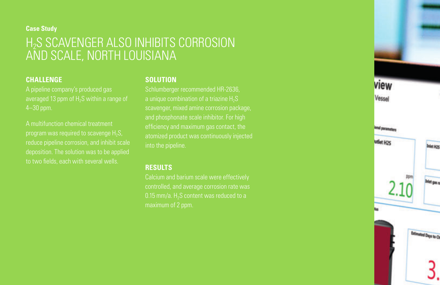#### **Case Study**

### H2S SCAVENGER ALSO INHIBITS CORROSION AND SCALE, NORTH LOUISIANA

#### **CHALLENGE**

A pipeline company's produced gas averaged 13 ppm of  $H_2S$  within a range of 4–30 ppm.

A multifunction chemical treatment program was required to scavenge  $H_2S$ , reduce pipeline corrosion, and inhibit scale deposition. The solution was to be applied to two fields, each with several wells.

#### **SOLUTION**

Schlumberger recommended HR-2636, a unique combination of a triazine  $H_2S$ scavenger, mixed amine corrosion package, efficiency and maximum gas contact, the atomized product was continuously injected into the pipeline.

#### **RESULTS**

Calcium and barium scale were effectively controlled, and average corrosion rate was maximum of 2 ppm.

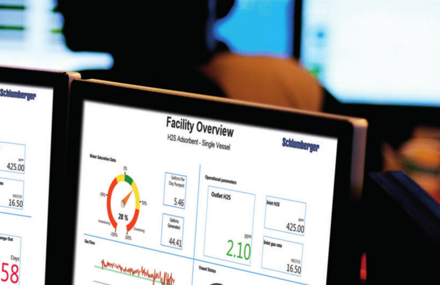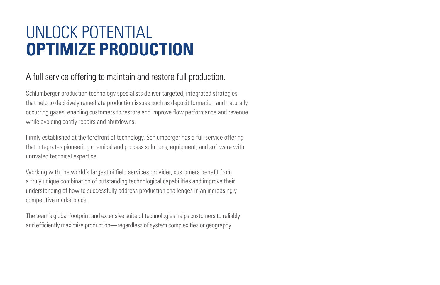# UNLOCK POTENTIAL **OPTIMIZE PRODUCTION**

### A full service offering to maintain and restore full production.

Schlumberger production technology specialists deliver targeted, integrated strategies that help to decisively remediate production issues such as deposit formation and naturally occurring gases, enabling customers to restore and improve flow performance and revenue while avoiding costly repairs and shutdowns.

Firmly established at the forefront of technology, Schlumberger has a full service offering that integrates pioneering chemical and process solutions, equipment, and software with unrivaled technical expertise.

Working with the world's largest oilfield services provider, customers benefit from a truly unique combination of outstanding technological capabilities and improve their understanding of how to successfully address production challenges in an increasingly competitive marketplace.

The team's global footprint and extensive suite of technologies helps customers to reliably and efficiently maximize production—regardless of system complexities or geography.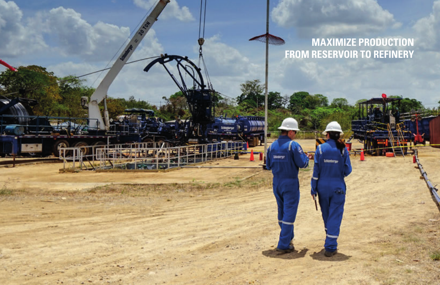### **MAXIMIZE PRODUCTION FROM RESERVOIR TO REFINERY**

distant

**Motoryc**